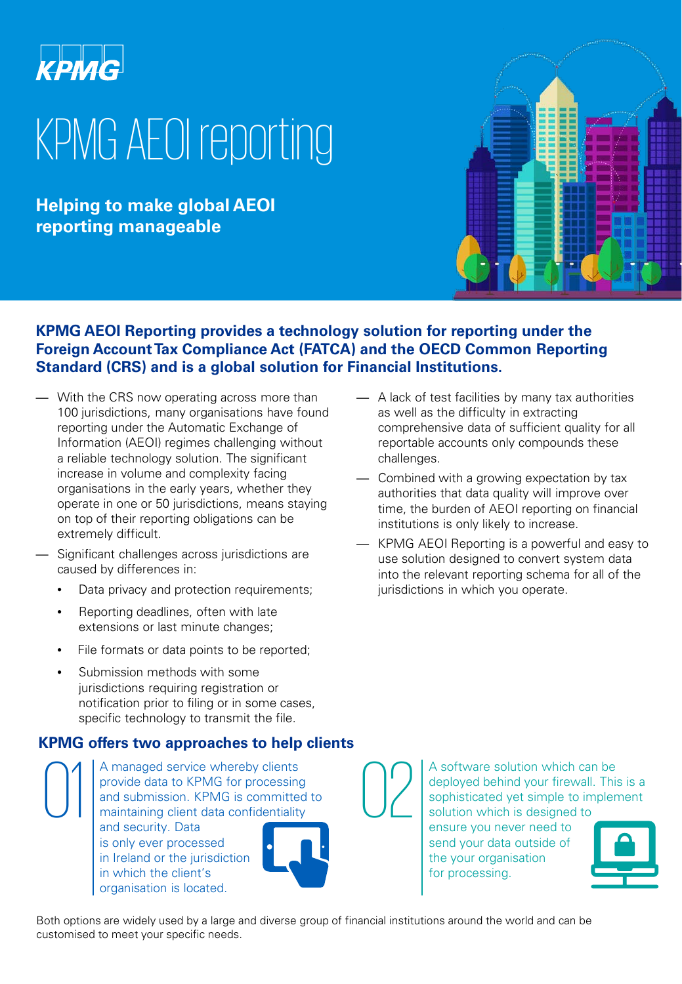

# KPMG AEOI reporting

**Helping to make global AEOI reporting manageable**



#### **KPMG AEOI Reporting provides a technology solution for reporting under the Foreign Account Tax Compliance Act (FATCA) and the OECD Common Reporting Standard (CRS) and is a global solution for Financial Institutions.**

- With the CRS now operating across more than 100 jurisdictions, many organisations have found reporting under the Automatic Exchange of Information (AEOI) regimes challenging without a reliable technology solution. The significant increase in volume and complexity facing organisations in the early years, whether they operate in one or 50 jurisdictions, means staying on top of their reporting obligations can be extremely difficult.
- Significant challenges across jurisdictions are caused by differences in:
	- Data privacy and protection requirements;
	- Reporting deadlines, often with late extensions or last minute changes;
	- File formats or data points to be reported;
	- Submission methods with some jurisdictions requiring registration or notification prior to filing or in some cases, specific technology to transmit the file.

#### **KPMG offers two approaches to help clients**

The MC ones two approaches to help<br>  $\bigcap_{\text{provide data to KPMG for processing}}$ A managed service whereby clients<br>
and submission. KPMG is committed<br>
maintaining client data confidentiality<br>
and sociality. Data provide data to KPMG for processing and submission. KPMG is committed to maintaining client data confidentiality and security. Data is only ever processed in Ireland or the jurisdiction in which the client's organisation is located.



as well as the difficulty in extracting comprehensive data of sufficient quality for all reportable accounts only compounds these challenges.

— A lack of test facilities by many tax authorities

- Combined with a growing expectation by tax authorities that data quality will improve over time, the burden of AEOI reporting on financial institutions is only likely to increase.
- KPMG AEOI Reporting is a powerful and easy to use solution designed to convert system data into the relevant reporting schema for all of the jurisdictions in which you operate.

A software solution which can be<br>deployed behind your firewall. This<br>sophisticated yet simple to implen<br>solution which is designed to deployed behind your firewall. This is a sophisticated yet simple to implement solution which is designed to ensure you never need to

send your data outside of the your organisation for processing.



Both options are widely used by a large and diverse group of financial institutions around the world and can be customised to meet your specific needs.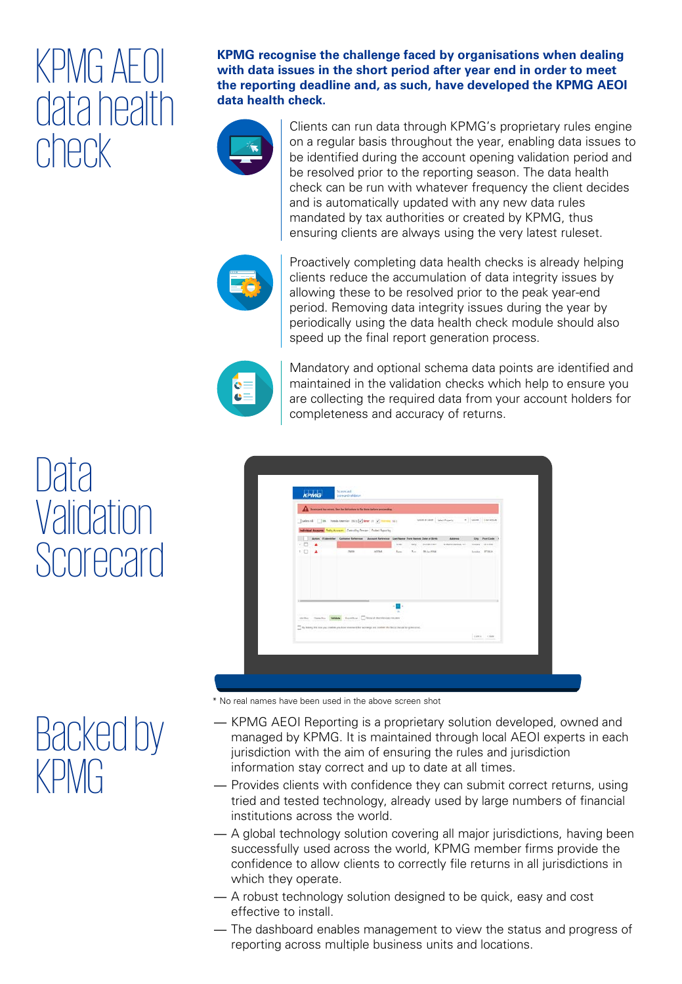### KPMG AEOI data health check

**KPMG recognise the challenge faced by organisations when dealing with data issues in the short period after year end in order to meet the reporting deadline and, as such, have developed the KPMG AEOI data health check.**



Clients can run data through KPMG's proprietary rules engine on a regular basis throughout the year, enabling data issues to be identified during the account opening validation period and be resolved prior to the reporting season. The data health check can be run with whatever frequency the client decides and is automatically updated with any new data rules mandated by tax authorities or created by KPMG, thus ensuring clients are always using the very latest ruleset.



Proactively completing data health checks is already helping clients reduce the accumulation of data integrity issues by allowing these to be resolved prior to the peak year-end period. Removing data integrity issues during the year by periodically using the data health check module should also speed up the final report generation process.



Mandatory and optional schema data points are identified and maintained in the validation checks which help to ensure you are collecting the required data from your account holders for completeness and accuracy of returns.

|          |   | <b>A branched has seven fee the full below to far three terror presenting.</b>                                                       |        |               |                |                               |                             |                                |  |
|----------|---|--------------------------------------------------------------------------------------------------------------------------------------|--------|---------------|----------------|-------------------------------|-----------------------------|--------------------------------|--|
|          |   | selected the temperature and of the contract of<br><b>Individual Assesses: Pethy Assesses:</b> Protecting Present Product Reporting  |        |               |                | Least in Land   Link Projects |                             | · Look Corporate               |  |
|          |   | Action, it interested. Customer teheranes. Account Kehinesoe. Leet Name: Pore Names Date of Birm.                                    |        | <b>Inches</b> | Mars.          | <b>Children</b>               | Aners<br>'8 Melin Aurea 117 | Ony Pont Code<br>Louise 010.08 |  |
| 工口       | ٠ | 23438                                                                                                                                | atras. | Ran-          | $V_{\rm{max}}$ | <b>BULL-1914</b>              |                             | louise, IFBEA.                 |  |
| $\cdots$ |   | Alche Deedur MAN Forther Docut boring count                                                                                          |        | m.            |                |                               |                             |                                |  |
|          |   | $\overline{\phantom{m}}$ by today, this not you control you have returned the scattering and anyther the fields about the generated. |        |               |                |                               |                             | Letta che                      |  |

- \* No real names have been used in the above screen shot
- KPMG AEOI Reporting is a proprietary solution developed, owned and managed by KPMG. It is maintained through local AEOI experts in each jurisdiction with the aim of ensuring the rules and jurisdiction information stay correct and up to date at all times.
- Provides clients with confidence they can submit correct returns, using tried and tested technology, already used by large numbers of financial institutions across the world.
- A global technology solution covering all major jurisdictions, having been successfully used across the world, KPMG member firms provide the confidence to allow clients to correctly file returns in all jurisdictions in which they operate.
- A robust technology solution designed to be quick, easy and cost effective to install.
- The dashboard enables management to view the status and progress of reporting across multiple business units and locations.

### Data **Validation** Scorecard

### Backed by KPMG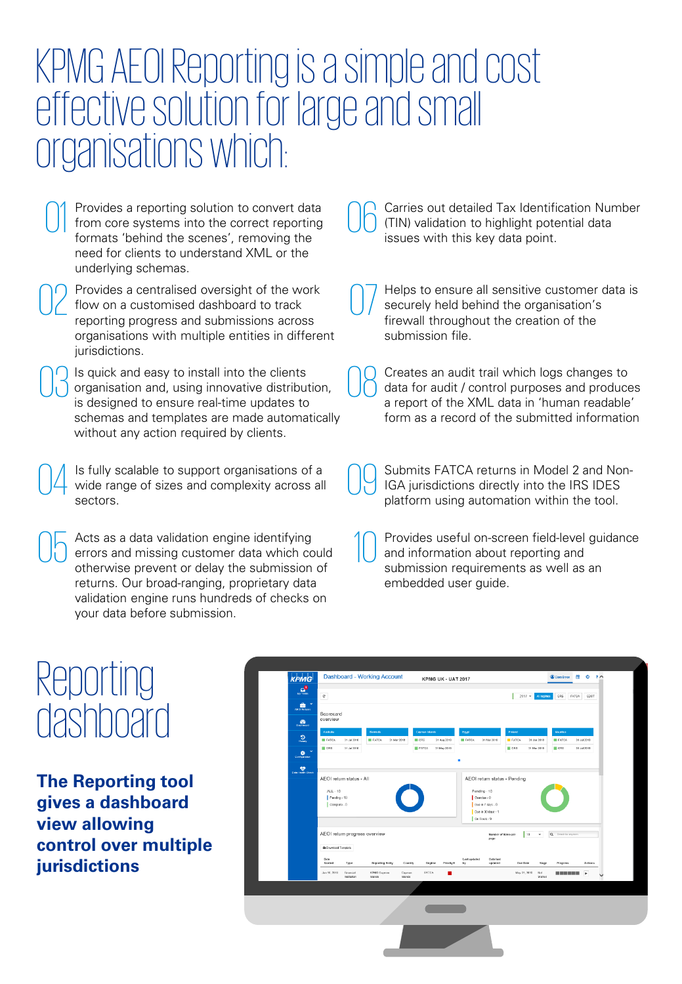### KPMG AEOI Reporting is a simple and cost effective solution for large and small organisations which:

Provides a reporting solution to convert data from core systems into the correct reporting formats 'behind the scenes', removing the need for clients to understand XML or the underlying schemas.

Provides a centralised oversight of the work flow on a customised dashboard to track reporting progress and submissions across organisations with multiple entities in different jurisdictions.

Is quick and easy to install into the clients OC Is quick and easy to install into the clients<br>
organisation and, using innovative distribution,<br>
is designed to ensure real time undates to<br>
a repeat of the XML data in 'burner readeble is designed to ensure real-time updates to schemas and templates are made automatically without any action required by clients.

Is fully scalable to support organisations of a sectors.

Acts as a data validation engine identifying otherwise prevent or delay the submission of returns. Our broad-ranging, proprietary data validation engine runs hundreds of checks on your data before submission.

Carries out detailed Tax Identification Number (TIN) validation to highlight potential data issues with this key data point. 06

Helps to ensure all sensitive customer data is securely held behind the organisation's firewall throughout the creation of the submission file. 07

data for audit / control purposes and produces a report of the XML data in 'human readable' form as a record of the submitted information 08

Is fully scalable to support organisations of a<br>wide range of sizes and complexity across all  $\bigcup_{n=1}^{\infty}$  Submits FATCA returns in Model 2 and Non-<br>platform using automation within the tool IGA jurisdictions directly into the IRS IDES platform using automation within the tool. 09

Acts as a data validation engine identifying<br>
errors and missing customer data which could<br>
and information about reporting and<br>
athenuing are useful on the submission of and information about reporting and submission requirements as well as an embedded user guide. 10

### Reporting dashboard

**The Reporting tool gives a dashboard view allowing control over multiple jurisdictions**